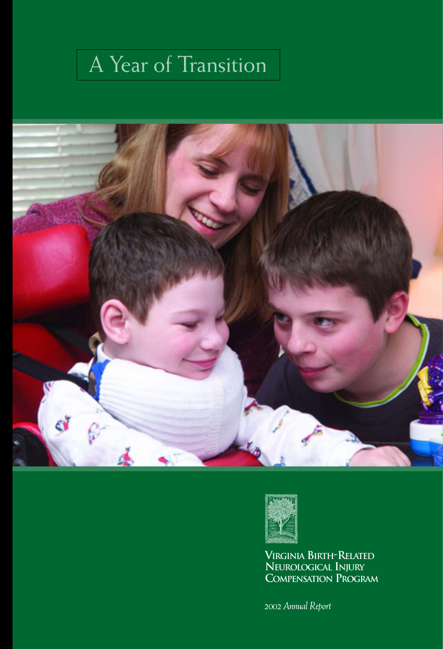# A Year of Transition





**VIRGINIA BIRTH-RELATED NEUROLOGICAL INJURY COMPENSATION PROGRAM**

*2002 Annual Report*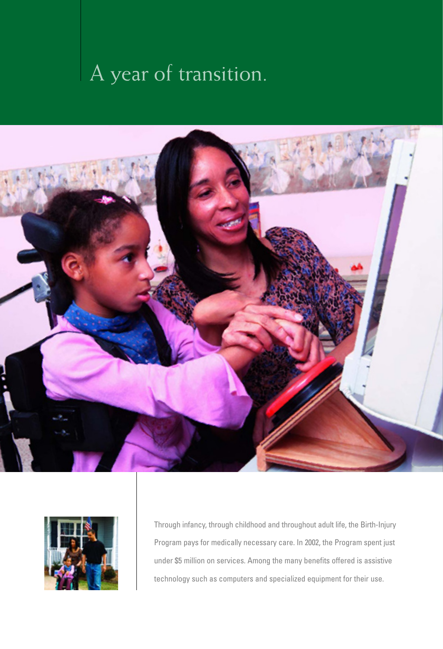# A year of transition.





Through infancy, through childhood and throughout adult life, the Birth-Injury Program pays for medically necessary care. In 2002, the Program spent just under \$5 million on services. Among the many benefits offered is assistive technology such as computers and specialized equipment for their use.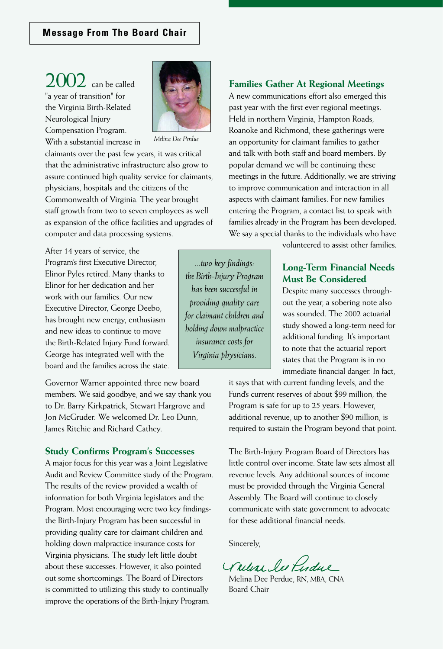2002 can be called "a year of transition" for the Virginia Birth-Related Neurological Injury Compensation Program. With a substantial increase in



*Melina Dee Perdue*

claimants over the past few years, it was critical that the administrative infrastructure also grow to assure continued high quality service for claimants, physicians, hospitals and the citizens of the Commonwealth of Virginia. The year brought staff growth from two to seven employees as well as expansion of the office facilities and upgrades of computer and data processing systems.

After 14 years of service, the Program's first Executive Director, Elinor Pyles retired. Many thanks to Elinor for her dedication and her work with our families. Our new Executive Director, George Deebo, has brought new energy, enthusiasm and new ideas to continue to move the Birth-Related Injury Fund forward. George has integrated well with the board and the families across the state.

Governor Warner appointed three new board members. We said goodbye, and we say thank you to Dr. Barry Kirkpatrick, Stewart Hargrove and Jon McGruder. We welcomed Dr. Leo Dunn, James Ritchie and Richard Cathey.

#### **Study Confirms Program's Successes**

A major focus for this year was a Joint Legislative Audit and Review Committee study of the Program. The results of the review provided a wealth of information for both Virginia legislators and the Program. Most encouraging were two key findingsthe Birth-Injury Program has been successful in providing quality care for claimant children and holding down malpractice insurance costs for Virginia physicians. The study left little doubt about these successes. However, it also pointed out some shortcomings. The Board of Directors is committed to utilizing this study to continually improve the operations of the Birth-Injury Program.

#### **Families Gather At Regional Meetings**

A new communications effort also emerged this past year with the first ever regional meetings. Held in northern Virginia, Hampton Roads, Roanoke and Richmond, these gatherings were an opportunity for claimant families to gather and talk with both staff and board members. By popular demand we will be continuing these meetings in the future. Additionally, we are striving to improve communication and interaction in all aspects with claimant families. For new families entering the Program, a contact list to speak with families already in the Program has been developed. We say a special thanks to the individuals who have

volunteered to assist other families.

### **Long-Term Financial Needs Must Be Considered**

Despite many successes throughout the year, a sobering note also was sounded. The 2002 actuarial study showed a long-term need for additional funding. It's important to note that the actuarial report states that the Program is in no immediate financial danger. In fact,

it says that with current funding levels, and the Fund's current reserves of about \$99 million, the Program is safe for up to 25 years. However, additional revenue, up to another \$90 million, is required to sustain the Program beyond that point.

The Birth-Injury Program Board of Directors has little control over income. State law sets almost all revenue levels. Any additional sources of income must be provided through the Virginia General Assembly. The Board will continue to closely communicate with state government to advocate for these additional financial needs.

Sincerely,

*...two key findings: the Birth-Injury Program has been successful in providing quality care for claimant children and holding down malpractice insurance costs for Virginia physicians.*

Willar lee Perdue

Melina Dee Perdue, RN, MBA, CNA Board Chair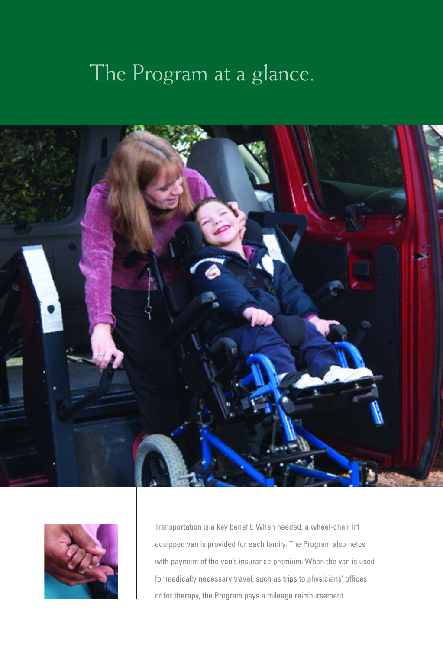# The Program at a glance.





Transportation is a key benefit. When needed, a wheel-chair lift equipped van is provided for each family. The Program also helps with payment of the van's insurance premium. When the van is used for medically necessary travel, such as trips to physicians' offices or for therapy, the Program pays a mileage reimbursement.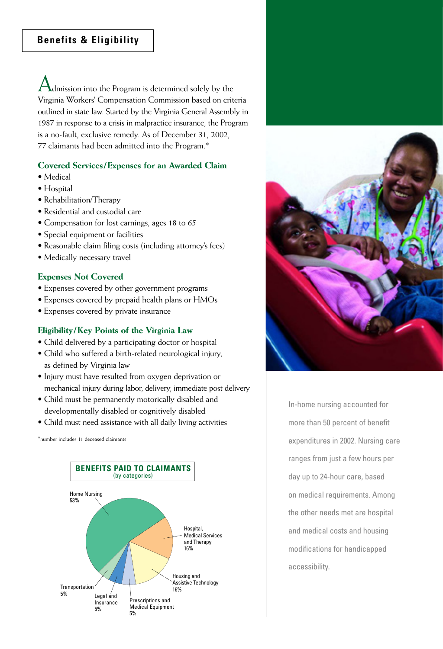Admission into the Program is determined solely by the Virginia Workers' Compensation Commission based on criteria outlined in state law. Started by the Virginia General Assembly in 1987 in response to a crisis in malpractice insurance, the Program is a no-fault, exclusive remedy. As of December 31, 2002, 77 claimants had been admitted into the Program.\*

### **Covered Services/Expenses for an Awarded Claim**

- Medical
- Hospital
- Rehabilitation/Therapy
- Residential and custodial care
- Compensation for lost earnings, ages 18 to 65
- Special equipment or facilities
- Reasonable claim filing costs (including attorney's fees)
- Medically necessary travel

### **Expenses Not Covered**

- Expenses covered by other government programs
- Expenses covered by prepaid health plans or HMOs
- Expenses covered by private insurance

#### **Eligibility/Key Points of the Virginia Law**

- Child delivered by a participating doctor or hospital
- Child who suffered a birth-related neurological injury, as defined by Virginia law
- Injury must have resulted from oxygen deprivation or mechanical injury during labor, delivery, immediate post delivery
- Child must be permanently motorically disabled and developmentally disabled or cognitively disabled
- Child must need assistance with all daily living activities

\*number includes 11 deceased claimants





In-home nursing accounted for more than 50 percent of benefit expenditures in 2002. Nursing care ranges from just a few hours per day up to 24-hour care, based on medical requirements. Among the other needs met are hospital and medical costs and housing modifications for handicapped accessibility.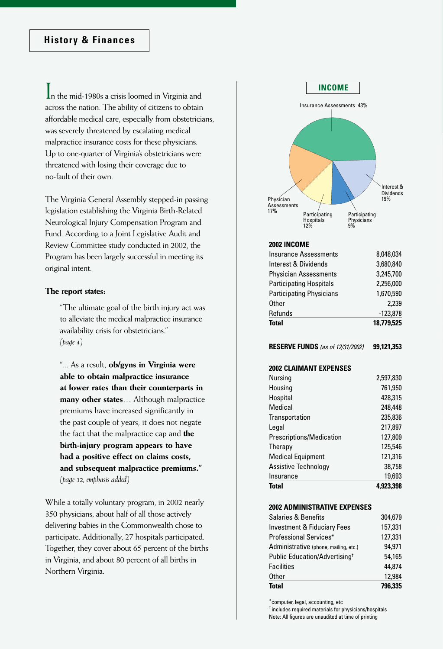In the mid-1980s a crisis loomed in Virginia and across the nation. The ability of citizens to obtain affordable medical care, especially from obstetricians, was severely threatened by escalating medical malpractice insurance costs for these physicians. Up to one-quarter of Virginia's obstetricians were threatened with losing their coverage due to no-fault of their own.

The Virginia General Assembly stepped-in passing legislation establishing the Virginia Birth-Related Neurological Injury Compensation Program and Fund. According to a Joint Legislative Audit and Review Committee study conducted in 2002, the Program has been largely successful in meeting its original intent.

#### **The report states:**

"The ultimate goal of the birth injury act was to alleviate the medical malpractice insurance availability crisis for obstetricians." *(page 4)*

"... As a result, **ob/gyns in Virginia were able to obtain malpractice insurance at lower rates than their counterparts in many other states**… Although malpractice premiums have increased significantly in the past couple of years, it does not negate the fact that the malpractice cap and **the birth-injury program appears to have had a positive effect on claims costs, and subsequent malpractice premiums."** *(page 32, emphasis added)*

While a totally voluntary program, in 2002 nearly 350 physicians, about half of all those actively delivering babies in the Commonwealth chose to participate. Additionally, 27 hospitals participated. Together, they cover about 65 percent of the births in Virginia, and about 80 percent of all births in Northern Virginia.



\*computer, legal, accounting, etc

† includes required materials for physicians/hospitals Note: All figures are unaudited at time of printing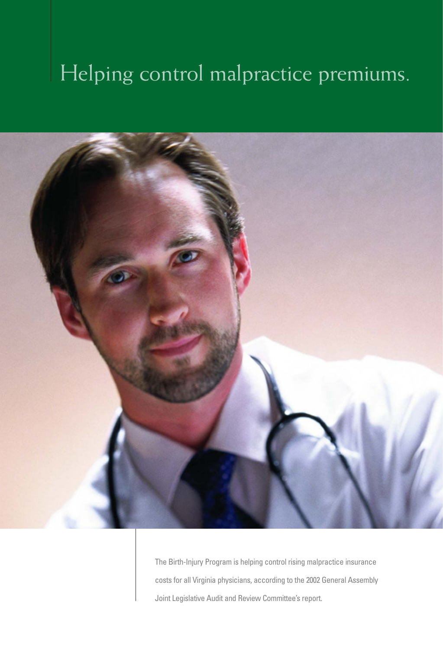## Helping control malpractice premiums.



The Birth-Injury Program is helping control rising malpractice insurance costs for all Virginia physicians, according to the 2002 General Assembly Joint Legislative Audit and Review Committee's report.